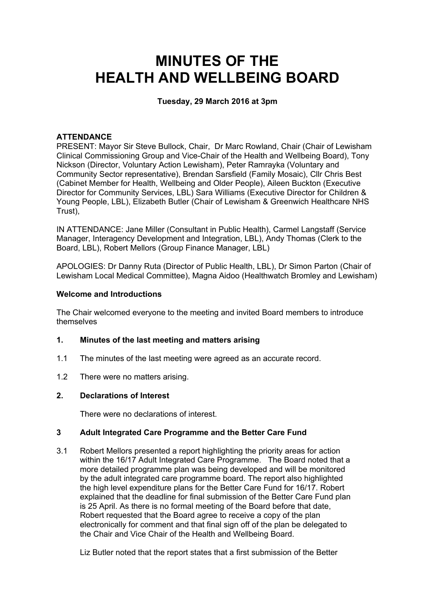# **MINUTES OF THE HEALTH AND WELLBEING BOARD**

# **Tuesday, 29 March 2016 at 3pm**

## **ATTENDANCE**

PRESENT: Mayor Sir Steve Bullock, Chair, Dr Marc Rowland, Chair (Chair of Lewisham Clinical Commissioning Group and Vice-Chair of the Health and Wellbeing Board), Tony Nickson (Director, Voluntary Action Lewisham), Peter Ramrayka (Voluntary and Community Sector representative), Brendan Sarsfield (Family Mosaic), Cllr Chris Best (Cabinet Member for Health, Wellbeing and Older People), Aileen Buckton (Executive Director for Community Services, LBL) Sara Williams (Executive Director for Children & Young People, LBL), Elizabeth Butler (Chair of Lewisham & Greenwich Healthcare NHS Trust),

IN ATTENDANCE: Jane Miller (Consultant in Public Health), Carmel Langstaff (Service Manager, Interagency Development and Integration, LBL), Andy Thomas (Clerk to the Board, LBL), Robert Mellors (Group Finance Manager, LBL)

APOLOGIES: Dr Danny Ruta (Director of Public Health, LBL), Dr Simon Parton (Chair of Lewisham Local Medical Committee), Magna Aidoo (Healthwatch Bromley and Lewisham)

### **Welcome and Introductions**

The Chair welcomed everyone to the meeting and invited Board members to introduce themselves

#### **1. Minutes of the last meeting and matters arising**

- 1.1 The minutes of the last meeting were agreed as an accurate record.
- 1.2 There were no matters arising.

### **2. Declarations of Interest**

There were no declarations of interest.

#### **3 Adult Integrated Care Programme and the Better Care Fund**

3.1 Robert Mellors presented a report highlighting the priority areas for action within the 16/17 Adult Integrated Care Programme. The Board noted that a more detailed programme plan was being developed and will be monitored by the adult integrated care programme board. The report also highlighted the high level expenditure plans for the Better Care Fund for 16/17. Robert explained that the deadline for final submission of the Better Care Fund plan is 25 April. As there is no formal meeting of the Board before that date, Robert requested that the Board agree to receive a copy of the plan electronically for comment and that final sign off of the plan be delegated to the Chair and Vice Chair of the Health and Wellbeing Board.

Liz Butler noted that the report states that a first submission of the Better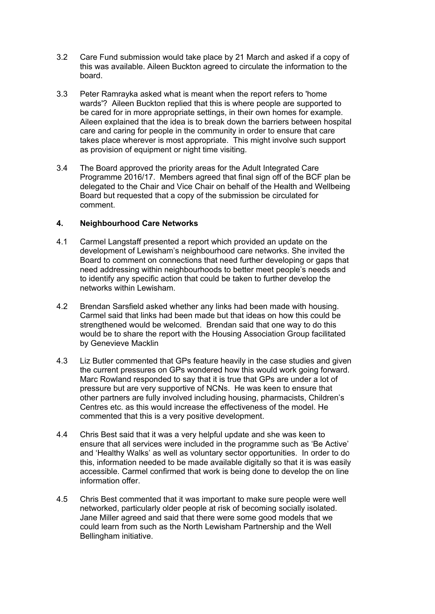- 3.2 Care Fund submission would take place by 21 March and asked if a copy of this was available. Aileen Buckton agreed to circulate the information to the board.
- 3.3 Peter Ramrayka asked what is meant when the report refers to 'home wards'? Aileen Buckton replied that this is where people are supported to be cared for in more appropriate settings, in their own homes for example. Aileen explained that the idea is to break down the barriers between hospital care and caring for people in the community in order to ensure that care takes place wherever is most appropriate. This might involve such support as provision of equipment or night time visiting.
- 3.4 The Board approved the priority areas for the Adult Integrated Care Programme 2016/17. Members agreed that final sign off of the BCF plan be delegated to the Chair and Vice Chair on behalf of the Health and Wellbeing Board but requested that a copy of the submission be circulated for comment.

#### **4. Neighbourhood Care Networks**

- 4.1 Carmel Langstaff presented a report which provided an update on the development of Lewisham's neighbourhood care networks. She invited the Board to comment on connections that need further developing or gaps that need addressing within neighbourhoods to better meet people's needs and to identify any specific action that could be taken to further develop the networks within Lewisham.
- 4.2 Brendan Sarsfield asked whether any links had been made with housing. Carmel said that links had been made but that ideas on how this could be strengthened would be welcomed. Brendan said that one way to do this would be to share the report with the Housing Association Group facilitated by Genevieve Macklin
- 4.3 Liz Butler commented that GPs feature heavily in the case studies and given the current pressures on GPs wondered how this would work going forward. Marc Rowland responded to say that it is true that GPs are under a lot of pressure but are very supportive of NCNs. He was keen to ensure that other partners are fully involved including housing, pharmacists, Children's Centres etc. as this would increase the effectiveness of the model. He commented that this is a very positive development.
- 4.4 Chris Best said that it was a very helpful update and she was keen to ensure that all services were included in the programme such as 'Be Active' and 'Healthy Walks' as well as voluntary sector opportunities. In order to do this, information needed to be made available digitally so that it is was easily accessible. Carmel confirmed that work is being done to develop the on line information offer.
- 4.5 Chris Best commented that it was important to make sure people were well networked, particularly older people at risk of becoming socially isolated. Jane Miller agreed and said that there were some good models that we could learn from such as the North Lewisham Partnership and the Well Bellingham initiative.